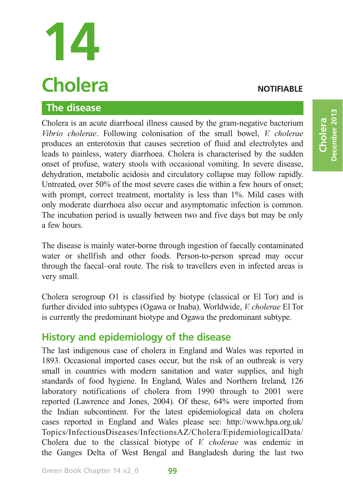

## **The disease**

Cholera is an acute diarrhoeal illness caused by the gram-negative bacterium *Vibrio cholerae*. Following colonisation of the small bowel, *V. cholerae* produces an enterotoxin that causes secretion of fluid and electrolytes and leads to painless, watery diarrhoea. Cholera is characterised by the sudden onset of profuse, watery stools with occasional vomiting. In severe disease, dehydration, metabolic acidosis and circulatory collapse may follow rapidly. Untreated, over 50% of the most severe cases die within a few hours of onset; with prompt, correct treatment, mortality is less than 1%. Mild cases with only moderate diarrhoea also occur and asymptomatic infection is common. The incubation period is usually between two and five days but may be only a few hours.

The disease is mainly water-borne through ingestion of faecally contaminated water or shellfish and other foods. Person-to-person spread may occur through the faecal–oral route. The risk to travellers even in infected areas is very small.

Cholera serogroup O1 is classified by biotype (classical or El Tor) and is further divided into subtypes (Ogawa or Inaba). Worldwide, *V. cholerae* El Tor is currently the predominant biotype and Ogawa the predominant subtype.

# **History and epidemiology of the disease**

The last indigenous case of cholera in England and Wales was reported in 1893. Occasional imported cases occur, but the risk of an outbreak is very small in countries with modern sanitation and water supplies, and high standards of food hygiene. In England, Wales and Northern Ireland, 126 laboratory notifications of cholera from 1990 through to 2001 were reported (Lawrence and Jones, 2004). Of these, 64% were imported from the Indian subcontinent. For the latest epidemiological data on cholera cases reported in England and Wales please see: [http://www.hpa.org.uk/](http://www.hpa.org.uk/Topics/InfectiousDiseases/InfectionsAZ/Cholera/EpidemiologicalData/) [Topics/InfectiousDiseases/InfectionsAZ/Cholera/EpidemiologicalData/](http://www.hpa.org.uk/Topics/InfectiousDiseases/InfectionsAZ/Cholera/EpidemiologicalData/) Cholera due to the classical biotype of *V. cholerae* was endemic in the Ganges Delta of West Bengal and Bangladesh during the last two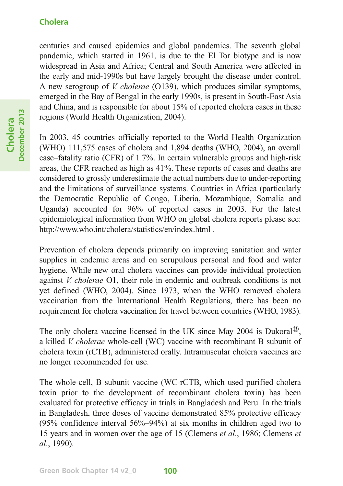centuries and caused epidemics and global pandemics. The seventh global pandemic, which started in 1961, is due to the El Tor biotype and is now widespread in Asia and Africa; Central and South America were affected in the early and mid-1990s but have largely brought the disease under control. A new serogroup of *V. cholerae* (O139), which produces similar symptoms, emerged in the Bay of Bengal in the early 1990s, is present in South-East Asia and China, and is responsible for about 15% of reported cholera cases in these regions (World Health Organization, 2004).

In 2003, 45 countries officially reported to the World Health Organization (WHO) 111,575 cases of cholera and 1,894 deaths (WHO, 2004), an overall case–fatality ratio (CFR) of 1.7%. In certain vulnerable groups and high-risk areas, the CFR reached as high as 41%. These reports of cases and deaths are considered to grossly underestimate the actual numbers due to under-reporting and the limitations of surveillance systems. Countries in Africa (particularly the Democratic Republic of Congo, Liberia, Mozambique, Somalia and Uganda) accounted for 96% of reported cases in 2003. For the latest epidemiological information from WHO on global cholera reports please see: http://www.who.int/cholera/statistics/en/index.html .

Prevention of cholera depends primarily on improving sanitation and water supplies in endemic areas and on scrupulous personal and food and water hygiene. While new oral cholera vaccines can provide individual protection against *V. cholerae* O1, their role in endemic and outbreak conditions is not yet defined (WHO, 2004). Since 1973, when the WHO removed cholera vaccination from the International Health Regulations, there has been no requirement for cholera vaccination for travel between countries (WHO, 1983).

The only cholera vaccine licensed in the UK since May 2004 is Dukoral®, a killed *V. cholerae* whole-cell (WC) vaccine with recombinant B subunit of cholera toxin (rCTB), administered orally. Intramuscular cholera vaccines are no longer recommended for use.

The whole-cell, B subunit vaccine (WC-rCTB, which used purified cholera toxin prior to the development of recombinant cholera toxin) has been evaluated for protective efficacy in trials in Bangladesh and Peru. In the trials in Bangladesh, three doses of vaccine demonstrated 85% protective efficacy (95% confidence interval 56%–94%) at six months in children aged two to 15 years and in women over the age of 15 (Clemens *et al*., 1986; Clemens *et al*., 1990).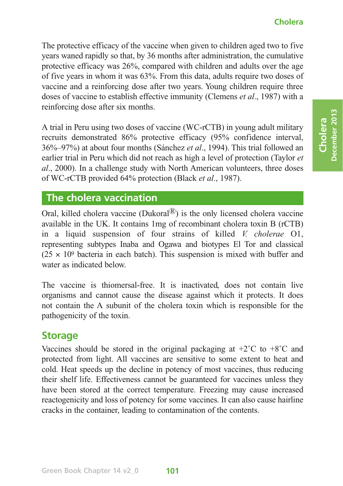The protective efficacy of the vaccine when given to children aged two to five years waned rapidly so that, by 36 months after administration, the cumulative protective efficacy was 26%, compared with children and adults over the age of five years in whom it was 63%. From this data, adults require two doses of vaccine and a reinforcing dose after two years. Young children require three doses of vaccine to establish effective immunity (Clemens *et al*., 1987) with a reinforcing dose after six months.

A trial in Peru using two doses of vaccine (WC-rCTB) in young adult military recruits demonstrated 86% protective efficacy (95% confidence interval, 36%–97%) at about four months (Sánchez *et al*., 1994). This trial followed an earlier trial in Peru which did not reach as high a level of protection (Taylor *et al*., 2000). In a challenge study with North American volunteers, three doses of WC-rCTB provided 64% protection (Black *et al*., 1987).

## **The cholera vaccination**

Oral, killed cholera vaccine (Dukoral®) is the only licensed cholera vaccine available in the UK. It contains 1mg of recombinant cholera toxin B (rCTB) in a liquid suspension of four strains of killed *V. cholerae* O1, representing subtypes Inaba and Ogawa and biotypes El Tor and classical  $(25 \times 10^9)$  bacteria in each batch). This suspension is mixed with buffer and water as indicated below.

The vaccine is thiomersal-free. It is inactivated, does not contain live organisms and cannot cause the disease against which it protects. It does not contain the A subunit of the cholera toxin which is responsible for the pathogenicity of the toxin.

# **Storage**

Vaccines should be stored in the original packaging at  $+2^{\circ}$ C to  $+8^{\circ}$ C and protected from light. All vaccines are sensitive to some extent to heat and cold. Heat speeds up the decline in potency of most vaccines, thus reducing their shelf life. Effectiveness cannot be guaranteed for vaccines unless they have been stored at the correct temperature. Freezing may cause increased reactogenicity and loss of potency for some vaccines. It can also cause hairline cracks in the container, leading to contamination of the contents.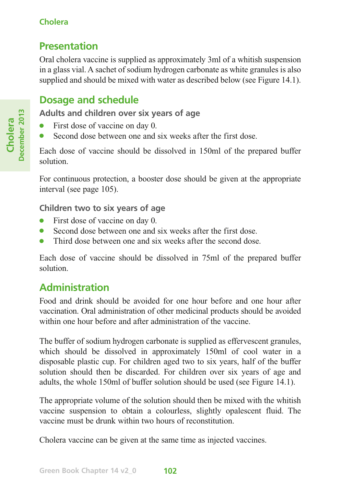## **Presentation**

Oral cholera vaccine is supplied as approximately 3ml of a whitish suspension in a glass vial. A sachet of sodium hydrogen carbonate as white granules is also supplied and should be mixed with water as described below (see Figure 14.1).

## **Dosage and schedule**

**Adults and children over six years of age**

- First dose of vaccine on day 0.
- Second dose between one and six weeks after the first dose.

Each dose of vaccine should be dissolved in 150ml of the prepared buffer solution.

For continuous protection, a booster dose should be given at the appropriate interval (see page 105).

**Children two to six years of age**

- First dose of vaccine on day 0.
- Second dose between one and six weeks after the first dose.
- Third dose between one and six weeks after the second dose.

Each dose of vaccine should be dissolved in 75ml of the prepared buffer solution.

# **Administration**

Food and drink should be avoided for one hour before and one hour after vaccination. Oral administration of other medicinal products should be avoided within one hour before and after administration of the vaccine.

The buffer of sodium hydrogen carbonate is supplied as effervescent granules, which should be dissolved in approximately 150ml of cool water in a disposable plastic cup. For children aged two to six years, half of the buffer solution should then be discarded. For children over six years of age and adults, the whole 150ml of buffer solution should be used (see Figure 14.1).

The appropriate volume of the solution should then be mixed with the whitish vaccine suspension to obtain a colourless, slightly opalescent fluid. The vaccine must be drunk within two hours of reconstitution.

Cholera vaccine can be given at the same time as injected vaccines.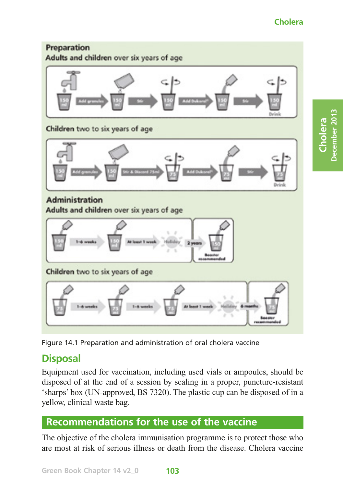

Figure 14.1 Preparation and administration of oral cholera vaccine

# **Disposal**

Equipment used for vaccination, including used vials or ampoules, should be disposed of at the end of a session by sealing in a proper, puncture-resistant 'sharps' box (UN-approved, BS 7320). The plastic cup can be disposed of in a yellow, clinical waste bag.

# **Recommendations for the use of the vaccine**

The objective of the cholera immunisation programme is to protect those who are most at risk of serious illness or death from the disease. Cholera vaccine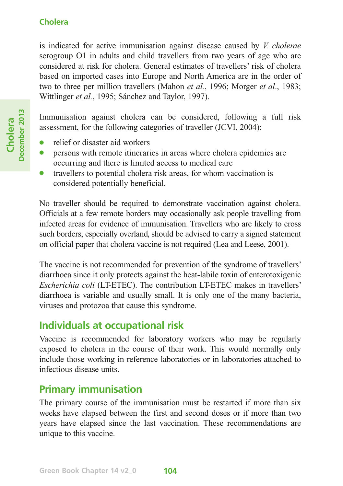is indicated for active immunisation against disease caused by *V. cholerae* serogroup O1 in adults and child travellers from two years of age who are considered at risk for cholera. General estimates of travellers' risk of cholera based on imported cases into Europe and North America are in the order of two to three per million travellers (Mahon *et al.*, 1996; Morger *et al*., 1983; Wittlinger *et al.*, 1995; Sánchez and Taylor, 1997).

Immunisation against cholera can be considered, following a full risk assessment, for the following categories of traveller (JCVI, 2004):

- relief or disaster aid workers
- persons with remote itineraries in areas where cholera epidemics are occurring and there is limited access to medical care
- travellers to potential cholera risk areas, for whom vaccination is considered potentially beneficial.

No traveller should be required to demonstrate vaccination against cholera. Officials at a few remote borders may occasionally ask people travelling from infected areas for evidence of immunisation. Travellers who are likely to cross such borders, especially overland, should be advised to carry a signed statement on official paper that cholera vaccine is not required (Lea and Leese, 2001).

The vaccine is not recommended for prevention of the syndrome of travellers' diarrhoea since it only protects against the heat-labile toxin of enterotoxigenic *Escherichia coli* (LT-ETEC). The contribution LT-ETEC makes in travellers' diarrhoea is variable and usually small. It is only one of the many bacteria, viruses and protozoa that cause this syndrome.

## **Individuals at occupational risk**

Vaccine is recommended for laboratory workers who may be regularly exposed to cholera in the course of their work. This would normally only include those working in reference laboratories or in laboratories attached to infectious disease units.

## **Primary immunisation**

The primary course of the immunisation must be restarted if more than six weeks have elapsed between the first and second doses or if more than two years have elapsed since the last vaccination. These recommendations are unique to this vaccine.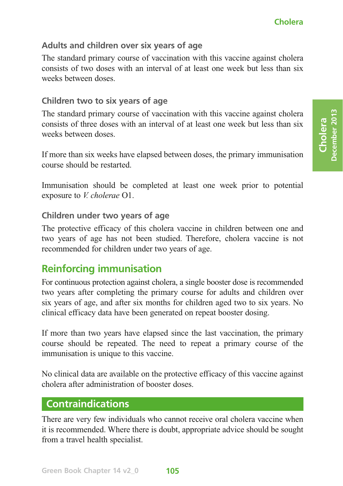#### **Adults and children over six years of age**

The standard primary course of vaccination with this vaccine against cholera consists of two doses with an interval of at least one week but less than six weeks between doses.

#### **Children two to six years of age**

The standard primary course of vaccination with this vaccine against cholera consists of three doses with an interval of at least one week but less than six weeks between doses.

If more than six weeks have elapsed between doses, the primary immunisation course should be restarted.

Immunisation should be completed at least one week prior to potential exposure to *V. cholerae* O1.

#### **Children under two years of age**

The protective efficacy of this cholera vaccine in children between one and two years of age has not been studied. Therefore, cholera vaccine is not recommended for children under two years of age.

# **Reinforcing immunisation**

For continuous protection against cholera, a single booster dose is recommended two years after completing the primary course for adults and children over six years of age, and after six months for children aged two to six years. No clinical efficacy data have been generated on repeat booster dosing.

If more than two years have elapsed since the last vaccination, the primary course should be repeated. The need to repeat a primary course of the immunisation is unique to this vaccine.

No clinical data are available on the protective efficacy of this vaccine against cholera after administration of booster doses.

## **Contraindications**

There are very few individuals who cannot receive oral cholera vaccine when it is recommended. Where there is doubt, appropriate advice should be sought from a travel health specialist.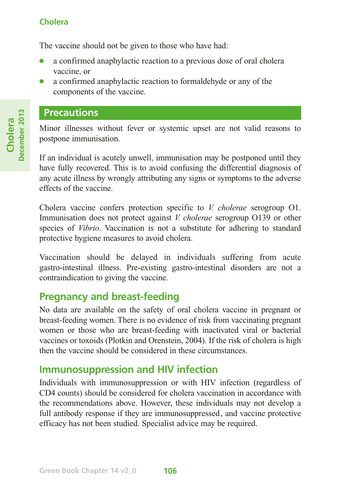The vaccine should not be given to those who have had:

- a confirmed anaphylactic reaction to a previous dose of oral cholera vaccine, or
- a confirmed anaphylactic reaction to formaldehyde or any of the components of the vaccine.

## **Precautions**

Minor illnesses without fever or systemic upset are not valid reasons to postpone immunisation.

If an individual is acutely unwell, immunisation may be postponed until they have fully recovered. This is to avoid confusing the differential diagnosis of any acute illness by wrongly attributing any signs or symptoms to the adverse effects of the vaccine.

Cholera vaccine confers protection specific to *V. cholerae* serogroup O1. Immunisation does not protect against *V. cholerae* serogroup O139 or other species of *Vibrio*. Vaccination is not a substitute for adhering to standard protective hygiene measures to avoid cholera.

Vaccination should be delayed in individuals suffering from acute gastro-intestinal illness. Pre-existing gastro-intestinal disorders are not a contraindication to giving the vaccine.

## **Pregnancy and breast-feeding**

No data are available on the safety of oral cholera vaccine in pregnant or breast-feeding women. There is no evidence of risk from vaccinating pregnant women or those who are breast-feeding with inactivated viral or bacterial vaccines or toxoids (Plotkin and Orenstein, 2004). If the risk of cholera is high then the vaccine should be considered in these circumstances.

## **Immunosuppression and HIV infection**

Individuals with immunosuppression or with HIV infection (regardless of CD4 counts) should be considered for cholera vaccination in accordance with the recommendations above. However, these individuals may not develop a full antibody response if they are immunosuppressed, and vaccine protective efficacy has not been studied. Specialist advice may be required.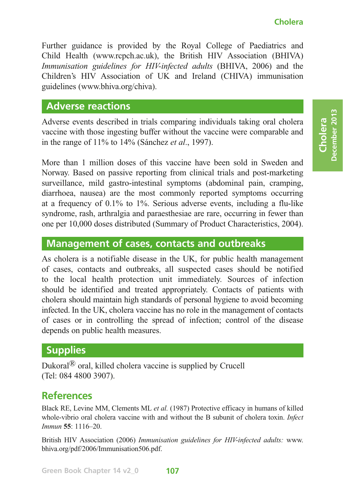Further guidance is provided by the Royal College of Paediatrics and Child Health (www.rcpch.ac.uk), the British HIV Association (BHIVA) *Immunisation guidelines for HIV-infected adults* (BHIVA, 2006) and the Children's HIV Association of UK and Ireland (CHIVA) immunisation guidelines (www.bhiva.org/chiva).

## **Adverse reactions**

Adverse events described in trials comparing individuals taking oral cholera vaccine with those ingesting buffer without the vaccine were comparable and in the range of 11% to 14% (Sánchez *et al*., 1997).

More than 1 million doses of this vaccine have been sold in Sweden and Norway. Based on passive reporting from clinical trials and post-marketing surveillance, mild gastro-intestinal symptoms (abdominal pain, cramping, diarrhoea, nausea) are the most commonly reported symptoms occurring at a frequency of 0.1% to 1%. Serious adverse events, including a flu-like syndrome, rash, arthralgia and paraesthesiae are rare, occurring in fewer than one per 10,000 doses distributed (Summary of Product Characteristics, 2004).

## **Management of cases, contacts and outbreaks**

As cholera is a notifiable disease in the UK, for public health management of cases, contacts and outbreaks, all suspected cases should be notified to the local health protection unit immediately. Sources of infection should be identified and treated appropriately. Contacts of patients with cholera should maintain high standards of personal hygiene to avoid becoming infected. In the UK, cholera vaccine has no role in the management of contacts of cases or in controlling the spread of infection; control of the disease depends on public health measures.

## **Supplies**

Dukoral® oral, killed cholera vaccine is supplied by Crucell (Tel: 084 4800 3907).

## **References**

Black RE, Levine MM, Clements ML *et al.* (1987) Protective efficacy in humans of killed whole-vibrio oral cholera vaccine with and without the B subunit of cholera toxin. *Infect Immun* **55**: 1116–20.

British HIV Association (2006) *Immunisation guidelines for HIV-infected adults:* www. bhiva.org/pdf/2006/Immunisation506.pdf.